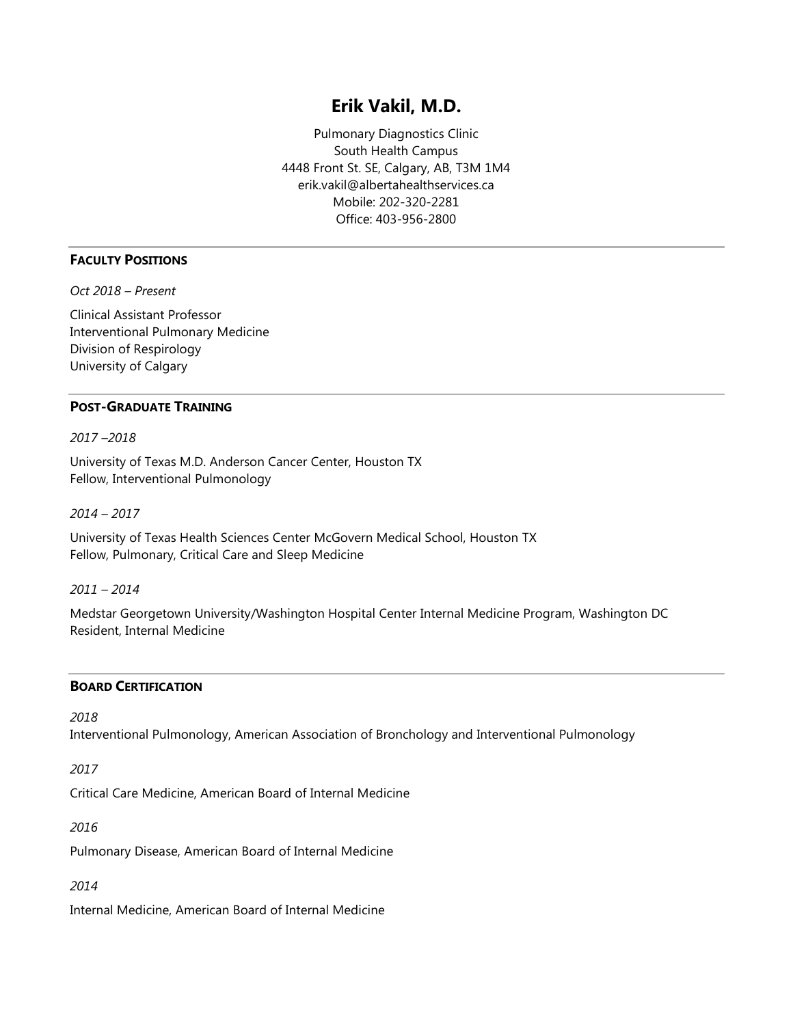# **Erik Vakil, M.D.**

Pulmonary Diagnostics Clinic South Health Campus 4448 Front St. SE, Calgary, AB, T3M 1M4 erik.vakil@albertahealthservices.ca Mobile: 202-320-2281 Office: 403-956-2800

# **FACULTY POSITIONS**

*Oct 2018 – Present*

Clinical Assistant Professor Interventional Pulmonary Medicine Division of Respirology University of Calgary

# **POST-GRADUATE TRAINING**

*2017 –2018*

University of Texas M.D. Anderson Cancer Center, Houston TX Fellow, Interventional Pulmonology

*2014 – 2017*

University of Texas Health Sciences Center McGovern Medical School, Houston TX Fellow, Pulmonary, Critical Care and Sleep Medicine

*2011 – 2014*

Medstar Georgetown University/Washington Hospital Center Internal Medicine Program, Washington DC Resident, Internal Medicine

## **BOARD CERTIFICATION**

*2018*

Interventional Pulmonology, American Association of Bronchology and Interventional Pulmonology

*2017*

Critical Care Medicine, American Board of Internal Medicine

*2016*

Pulmonary Disease, American Board of Internal Medicine

*2014*

Internal Medicine, American Board of Internal Medicine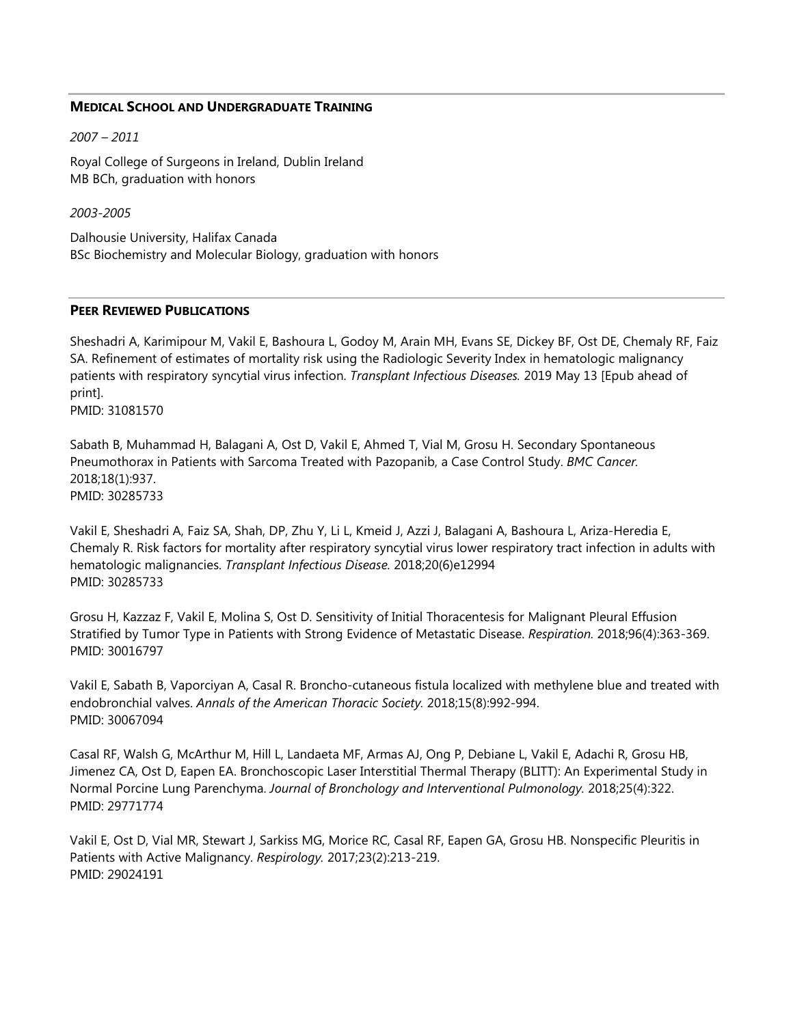#### **MEDICAL SCHOOL AND UNDERGRADUATE TRAINING**

*2007 – 2011*

Royal College of Surgeons in Ireland, Dublin Ireland MB BCh, graduation with honors

*2003-2005*

Dalhousie University, Halifax Canada BSc Biochemistry and Molecular Biology, graduation with honors

#### **PEER REVIEWED PUBLICATIONS**

Sheshadri A, Karimipour M, Vakil E, Bashoura L, Godoy M, Arain MH, Evans SE, Dickey BF, Ost DE, Chemaly RF, Faiz SA. Refinement of estimates of mortality risk using the Radiologic Severity Index in hematologic malignancy patients with respiratory syncytial virus infection. *Transplant Infectious Diseases.* 2019 May 13 [Epub ahead of print].

PMID: 31081570

Sabath B, Muhammad H, Balagani A, Ost D, Vakil E, Ahmed T, Vial M, Grosu H. Secondary Spontaneous Pneumothorax in Patients with Sarcoma Treated with Pazopanib, a Case Control Study. *BMC Cancer.*  2018;18(1):937. PMID: 30285733

Vakil E, Sheshadri A, Faiz SA, Shah, DP, Zhu Y, Li L, Kmeid J, Azzi J, Balagani A, Bashoura L, Ariza-Heredia E, Chemaly R. Risk factors for mortality after respiratory syncytial virus lower respiratory tract infection in adults with hematologic malignancies. *Transplant Infectious Disease.* 2018;20(6)e12994 PMID: 30285733

Grosu H, Kazzaz F, Vakil E, Molina S, Ost D. Sensitivity of Initial Thoracentesis for Malignant Pleural Effusion Stratified by Tumor Type in Patients with Strong Evidence of Metastatic Disease. *Respiration.* 2018;96(4):363-369. PMID: 30016797

Vakil E, Sabath B, Vaporciyan A, Casal R. Broncho-cutaneous fistula localized with methylene blue and treated with endobronchial valves. *Annals of the American Thoracic Society.* 2018;15(8):992-994. PMID: 30067094

Casal RF, Walsh G, McArthur M, Hill L, Landaeta MF, Armas AJ, Ong P, Debiane L, Vakil E, Adachi R, Grosu HB, Jimenez CA, Ost D, Eapen EA. Bronchoscopic Laser Interstitial Thermal Therapy (BLITT): An Experimental Study in Normal Porcine Lung Parenchyma. *Journal of Bronchology and Interventional Pulmonology.* 2018;25(4):322. PMID: 29771774

Vakil E, Ost D, Vial MR, Stewart J, Sarkiss MG, Morice RC, Casal RF, Eapen GA, Grosu HB. Nonspecific Pleuritis in Patients with Active Malignancy. *Respirology.* 2017;23(2):213-219. PMID: 29024191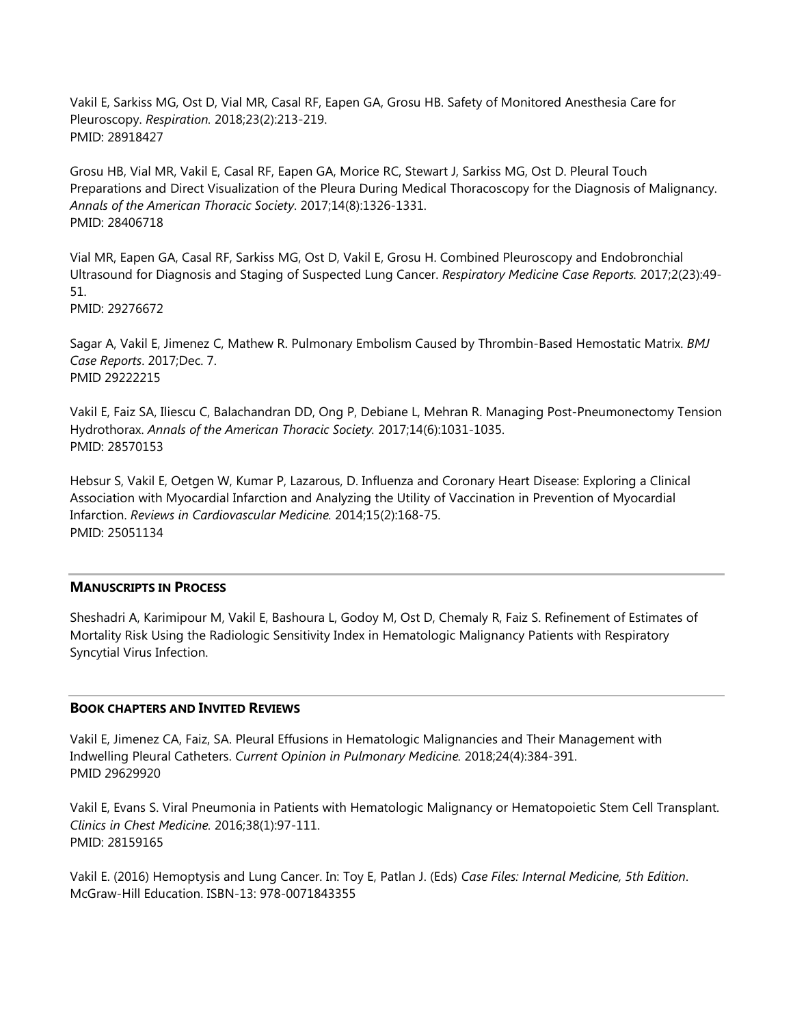Vakil E, Sarkiss MG, Ost D, Vial MR, Casal RF, Eapen GA, Grosu HB. Safety of Monitored Anesthesia Care for Pleuroscopy. *Respiration.* 2018;23(2):213-219. PMID: 28918427

Grosu HB, Vial MR, Vakil E, Casal RF, Eapen GA, Morice RC, Stewart J, Sarkiss MG, Ost D. Pleural Touch Preparations and Direct Visualization of the Pleura During Medical Thoracoscopy for the Diagnosis of Malignancy. *Annals of the American Thoracic Society*. 2017;14(8):1326-1331. PMID: 28406718

Vial MR, Eapen GA, Casal RF, Sarkiss MG, Ost D, Vakil E, Grosu H. Combined Pleuroscopy and Endobronchial Ultrasound for Diagnosis and Staging of Suspected Lung Cancer. *Respiratory Medicine Case Reports.* 2017;2(23):49- 51.

PMID: 29276672

Sagar A, Vakil E, Jimenez C, Mathew R. Pulmonary Embolism Caused by Thrombin-Based Hemostatic Matrix. *BMJ Case Reports*. 2017;Dec. 7. PMID 29222215

Vakil E, Faiz SA, Iliescu C, Balachandran DD, Ong P, Debiane L, Mehran R. Managing Post-Pneumonectomy Tension Hydrothorax. *Annals of the American Thoracic Society.* 2017;14(6):1031-1035. PMID: 28570153

Hebsur S, Vakil E, Oetgen W, Kumar P, Lazarous, D. Influenza and Coronary Heart Disease: Exploring a Clinical Association with Myocardial Infarction and Analyzing the Utility of Vaccination in Prevention of Myocardial Infarction. *Reviews in Cardiovascular Medicine.* 2014;15(2):168-75. PMID: 25051134

## **MANUSCRIPTS IN PROCESS**

Sheshadri A, Karimipour M, Vakil E, Bashoura L, Godoy M, Ost D, Chemaly R, Faiz S. Refinement of Estimates of Mortality Risk Using the Radiologic Sensitivity Index in Hematologic Malignancy Patients with Respiratory Syncytial Virus Infection.

## **BOOK CHAPTERS AND INVITED REVIEWS**

Vakil E, Jimenez CA, Faiz, SA. Pleural Effusions in Hematologic Malignancies and Their Management with Indwelling Pleural Catheters. *Current Opinion in Pulmonary Medicine.* 2018;24(4):384-391. PMID 29629920

Vakil E, Evans S. Viral Pneumonia in Patients with Hematologic Malignancy or Hematopoietic Stem Cell Transplant. *Clinics in Chest Medicine.* 2016;38(1):97-111. PMID: 28159165

Vakil E. (2016) Hemoptysis and Lung Cancer. In: Toy E, Patlan J. (Eds) *Case Files: Internal Medicine, 5th Edition*. McGraw-Hill Education. ISBN-13: 978-0071843355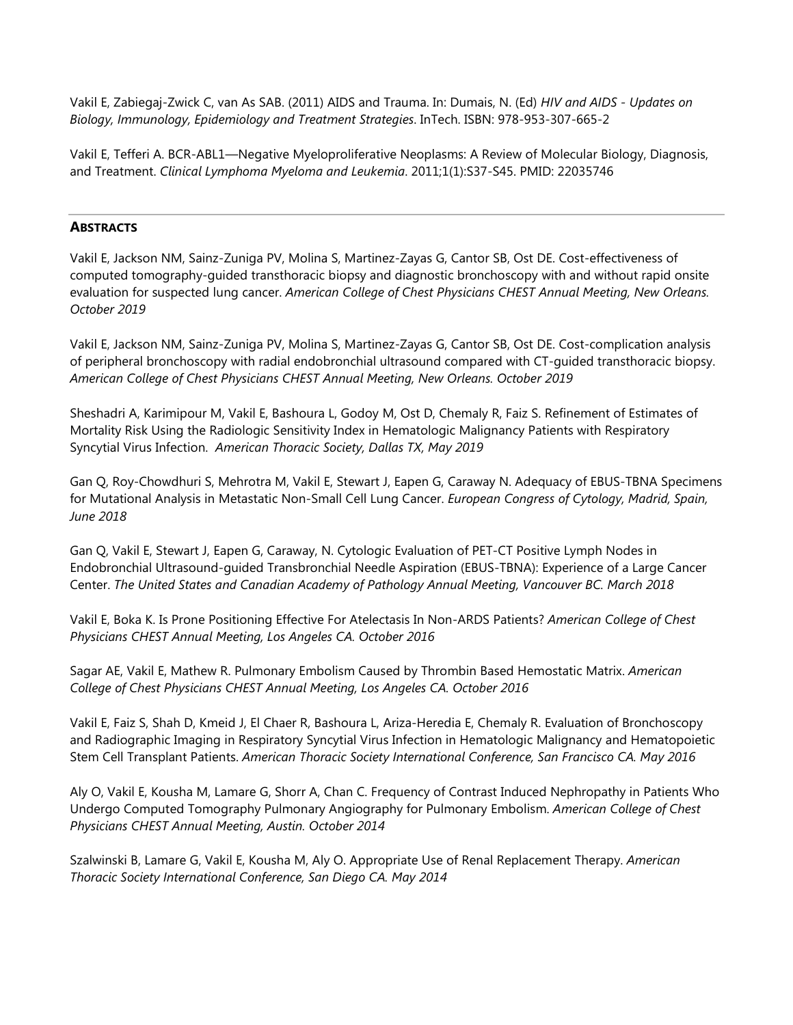Vakil E, Zabiegaj-Zwick C, van As SAB. (2011) AIDS and Trauma. In: Dumais, N. (Ed) *HIV and AIDS - Updates on Biology, Immunology, Epidemiology and Treatment Strategies*. InTech. ISBN: 978-953-307-665-2

Vakil E, Tefferi A. BCR-ABL1—Negative Myeloproliferative Neoplasms: A Review of Molecular Biology, Diagnosis, and Treatment. *Clinical Lymphoma Myeloma and Leukemia*. 2011;1(1):S37-S45. PMID: 22035746

## **ABSTRACTS**

Vakil E, Jackson NM, Sainz-Zuniga PV, Molina S, Martinez-Zayas G, Cantor SB, Ost DE. Cost-effectiveness of computed tomography-guided transthoracic biopsy and diagnostic bronchoscopy with and without rapid onsite evaluation for suspected lung cancer. *American College of Chest Physicians CHEST Annual Meeting, New Orleans. October 2019*

Vakil E, Jackson NM, Sainz-Zuniga PV, Molina S, Martinez-Zayas G, Cantor SB, Ost DE. Cost-complication analysis of peripheral bronchoscopy with radial endobronchial ultrasound compared with CT-guided transthoracic biopsy. *American College of Chest Physicians CHEST Annual Meeting, New Orleans. October 2019*

Sheshadri A, Karimipour M, Vakil E, Bashoura L, Godoy M, Ost D, Chemaly R, Faiz S. Refinement of Estimates of Mortality Risk Using the Radiologic Sensitivity Index in Hematologic Malignancy Patients with Respiratory Syncytial Virus Infection. *American Thoracic Society, Dallas TX, May 2019*

Gan Q, Roy-Chowdhuri S, Mehrotra M, Vakil E, Stewart J, Eapen G, Caraway N. Adequacy of EBUS-TBNA Specimens for Mutational Analysis in Metastatic Non-Small Cell Lung Cancer. *European Congress of Cytology, Madrid, Spain, June 2018*

Gan Q, Vakil E, Stewart J, Eapen G, Caraway, N. Cytologic Evaluation of PET-CT Positive Lymph Nodes in Endobronchial Ultrasound-guided Transbronchial Needle Aspiration (EBUS-TBNA): Experience of a Large Cancer Center. *The United States and Canadian Academy of Pathology Annual Meeting, Vancouver BC. March 2018*

Vakil E, Boka K. Is Prone Positioning Effective For Atelectasis In Non-ARDS Patients? *American College of Chest Physicians CHEST Annual Meeting, Los Angeles CA. October 2016*

Sagar AE, Vakil E, Mathew R. Pulmonary Embolism Caused by Thrombin Based Hemostatic Matrix. *American College of Chest Physicians CHEST Annual Meeting, Los Angeles CA. October 2016*

Vakil E, Faiz S, Shah D, Kmeid J, El Chaer R, Bashoura L, Ariza-Heredia E, Chemaly R. Evaluation of Bronchoscopy and Radiographic Imaging in Respiratory Syncytial Virus Infection in Hematologic Malignancy and Hematopoietic Stem Cell Transplant Patients. *American Thoracic Society International Conference, San Francisco CA. May 2016*

Aly O, Vakil E, Kousha M, Lamare G, Shorr A, Chan C. Frequency of Contrast Induced Nephropathy in Patients Who Undergo Computed Tomography Pulmonary Angiography for Pulmonary Embolism. *American College of Chest Physicians CHEST Annual Meeting, Austin. October 2014*

Szalwinski B, Lamare G, Vakil E, Kousha M, Aly O. Appropriate Use of Renal Replacement Therapy. *American Thoracic Society International Conference, San Diego CA. May 2014*